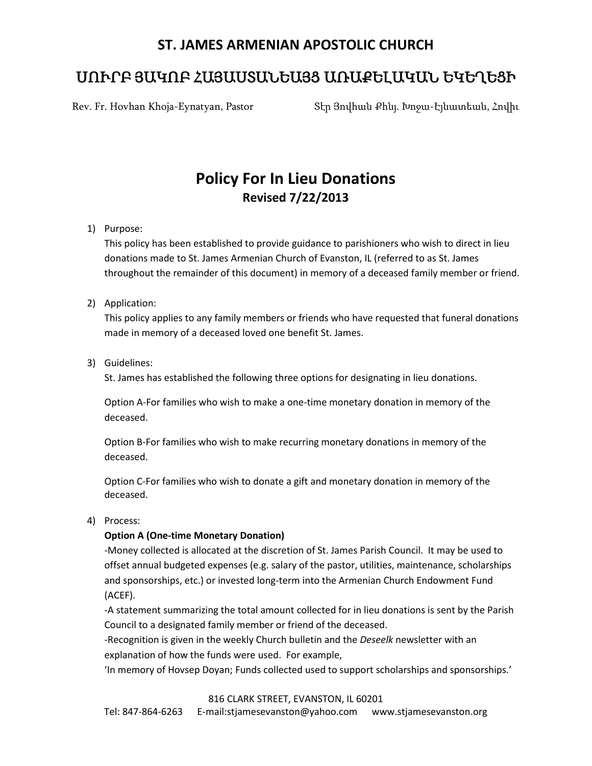# **ST. JAMES ARMENIAN APOSTOLIC CHURCH**

# ՍՈՒՐԲ ՅԱԿՈԲ ՀԱՅԱՍՏԱՆԵԱՅՑ ԱՌԱՔԵԼԱԿԱՆ ԵԿԵՂԵՑԻ

Rev. Fr. Hovhan Khoja-Eynatyan, Pastor Տէր Յովհան Քհնյ. Խոջա-Էյնատեան, Հովիւ

# **Policy For In Lieu Donations Revised 7/22/2013**

### 1) Purpose:

This policy has been established to provide guidance to parishioners who wish to direct in lieu donations made to St. James Armenian Church of Evanston, IL (referred to as St. James throughout the remainder of this document) in memory of a deceased family member or friend.

### 2) Application:

This policy applies to any family members or friends who have requested that funeral donations made in memory of a deceased loved one benefit St. James.

#### 3) Guidelines:

St. James has established the following three options for designating in lieu donations.

Option A-For families who wish to make a one-time monetary donation in memory of the deceased.

Option B-For families who wish to make recurring monetary donations in memory of the deceased.

Option C-For families who wish to donate a gift and monetary donation in memory of the deceased.

#### 4) Process:

## **Option A (One-time Monetary Donation)**

-Money collected is allocated at the discretion of St. James Parish Council. It may be used to offset annual budgeted expenses (e.g. salary of the pastor, utilities, maintenance, scholarships and sponsorships, etc.) or invested long-term into the Armenian Church Endowment Fund (ACEF).

-A statement summarizing the total amount collected for in lieu donations is sent by the Parish Council to a designated family member or friend of the deceased.

-Recognition is given in the weekly Church bulletin and the *Deseelk* newsletter with an explanation of how the funds were used. For example,

'In memory of Hovsep Doyan; Funds collected used to support scholarships and sponsorships.'

#### 816 CLARK STREET, EVANSTON, IL 60201

Tel: 847-864-6263 E-mail:stjamesevanston@yahoo.com www.stjamesevanston.org